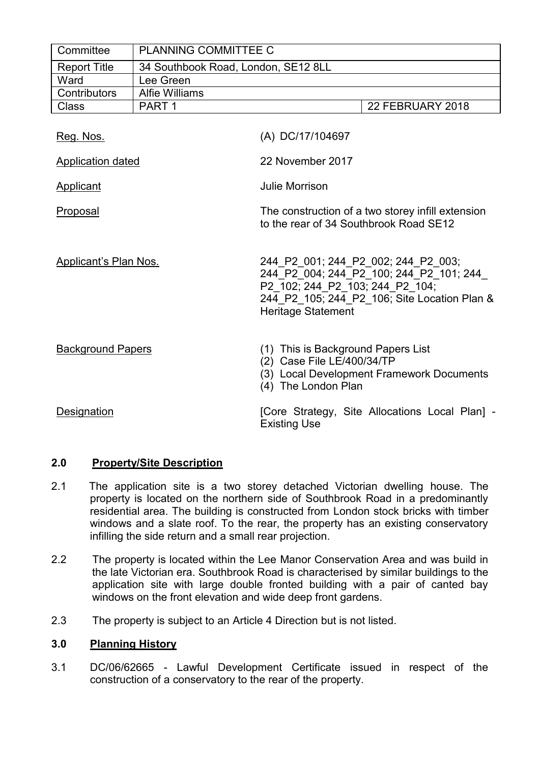| Committee                    | PLANNING COMMITTEE C                |                                                                                                                                                                                                |                  |
|------------------------------|-------------------------------------|------------------------------------------------------------------------------------------------------------------------------------------------------------------------------------------------|------------------|
| <b>Report Title</b>          | 34 Southbook Road, London, SE12 8LL |                                                                                                                                                                                                |                  |
| Ward                         | Lee Green                           |                                                                                                                                                                                                |                  |
| Contributors                 | <b>Alfie Williams</b>               |                                                                                                                                                                                                |                  |
| <b>Class</b>                 | PART <sub>1</sub>                   |                                                                                                                                                                                                | 22 FEBRUARY 2018 |
| Reg. Nos.                    |                                     | (A) DC/17/104697                                                                                                                                                                               |                  |
| <b>Application dated</b>     |                                     | 22 November 2017                                                                                                                                                                               |                  |
| Applicant                    |                                     | <b>Julie Morrison</b>                                                                                                                                                                          |                  |
| Proposal                     |                                     | The construction of a two storey infill extension<br>to the rear of 34 Southbrook Road SE12                                                                                                    |                  |
| <b>Applicant's Plan Nos.</b> |                                     | 244 P2 001; 244 P2 002; 244 P2 003;<br>244 P2 004; 244 P2 100; 244 P2 101; 244<br>P2 102; 244 P2 103; 244 P2 104;<br>244_P2_105; 244_P2_106; Site Location Plan &<br><b>Heritage Statement</b> |                  |
| <b>Background Papers</b>     |                                     | (1) This is Background Papers List<br>(2) Case File LE/400/34/TP<br>(3) Local Development Framework Documents<br>(4) The London Plan                                                           |                  |
| Designation                  |                                     | [Core Strategy, Site Allocations Local Plan] -<br><b>Existing Use</b>                                                                                                                          |                  |

# **2.0 Property/Site Description**

- 2.1 The application site is a two storey detached Victorian dwelling house. The property is located on the northern side of Southbrook Road in a predominantly residential area. The building is constructed from London stock bricks with timber windows and a slate roof. To the rear, the property has an existing conservatory infilling the side return and a small rear projection.
- 2.2 The property is located within the Lee Manor Conservation Area and was build in the late Victorian era. Southbrook Road is characterised by similar buildings to the application site with large double fronted building with a pair of canted bay windows on the front elevation and wide deep front gardens.
- 2.3 The property is subject to an Article 4 Direction but is not listed.

# **3.0 Planning History**

3.1 DC/06/62665 - Lawful Development Certificate issued in respect of the construction of a conservatory to the rear of the property.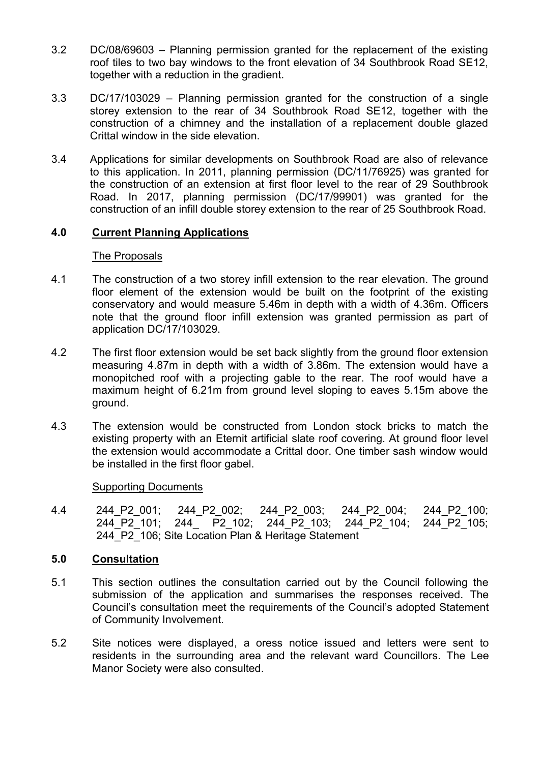- 3.2 DC/08/69603 Planning permission granted for the replacement of the existing roof tiles to two bay windows to the front elevation of 34 Southbrook Road SE12, together with a reduction in the gradient.
- 3.3 DC/17/103029 Planning permission granted for the construction of a single storey extension to the rear of 34 Southbrook Road SE12, together with the construction of a chimney and the installation of a replacement double glazed Crittal window in the side elevation.
- 3.4 Applications for similar developments on Southbrook Road are also of relevance to this application. In 2011, planning permission (DC/11/76925) was granted for the construction of an extension at first floor level to the rear of 29 Southbrook Road. In 2017, planning permission (DC/17/99901) was granted for the construction of an infill double storey extension to the rear of 25 Southbrook Road.

# **4.0 Current Planning Applications**

#### The Proposals

- 4.1 The construction of a two storey infill extension to the rear elevation. The ground floor element of the extension would be built on the footprint of the existing conservatory and would measure 5.46m in depth with a width of 4.36m. Officers note that the ground floor infill extension was granted permission as part of application DC/17/103029.
- 4.2 The first floor extension would be set back slightly from the ground floor extension measuring 4.87m in depth with a width of 3.86m. The extension would have a monopitched roof with a projecting gable to the rear. The roof would have a maximum height of 6.21m from ground level sloping to eaves 5.15m above the ground.
- 4.3 The extension would be constructed from London stock bricks to match the existing property with an Eternit artificial slate roof covering. At ground floor level the extension would accommodate a Crittal door. One timber sash window would be installed in the first floor gabel.

#### Supporting Documents

4.4 244\_P2\_001; 244\_P2\_002; 244\_P2\_003; 244\_P2\_004; 244\_P2\_100; 244 P2 101; 244 P2 102; 244 P2 103; 244 P2 104; 244 P2 105; 244 P2 106; Site Location Plan & Heritage Statement

## **5.0 Consultation**

- 5.1 This section outlines the consultation carried out by the Council following the submission of the application and summarises the responses received. The Council's consultation meet the requirements of the Council's adopted Statement of Community Involvement.
- 5.2 Site notices were displayed, a oress notice issued and letters were sent to residents in the surrounding area and the relevant ward Councillors. The Lee Manor Society were also consulted.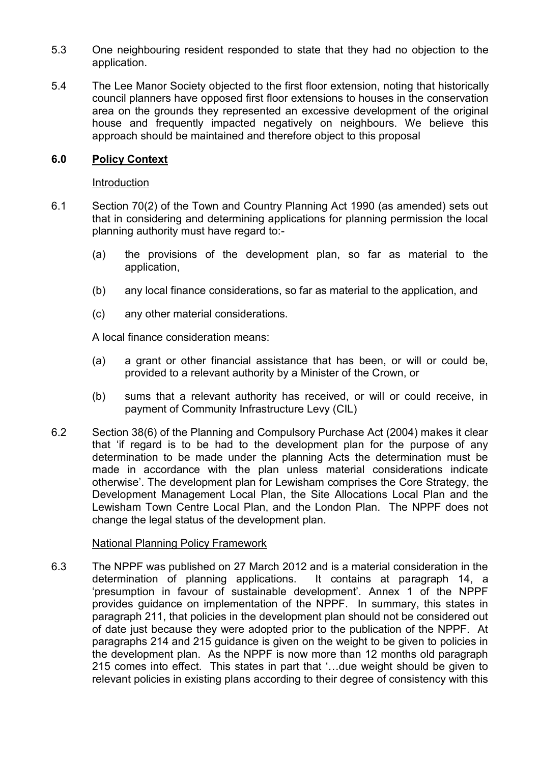- 5.3 One neighbouring resident responded to state that they had no objection to the application.
- 5.4 The Lee Manor Society objected to the first floor extension, noting that historically council planners have opposed first floor extensions to houses in the conservation area on the grounds they represented an excessive development of the original house and frequently impacted negatively on neighbours. We believe this approach should be maintained and therefore object to this proposal

## **6.0 Policy Context**

#### Introduction

- 6.1 Section 70(2) of the Town and Country Planning Act 1990 (as amended) sets out that in considering and determining applications for planning permission the local planning authority must have regard to:-
	- (a) the provisions of the development plan, so far as material to the application,
	- (b) any local finance considerations, so far as material to the application, and
	- (c) any other material considerations.

A local finance consideration means:

- (a) a grant or other financial assistance that has been, or will or could be, provided to a relevant authority by a Minister of the Crown, or
- (b) sums that a relevant authority has received, or will or could receive, in payment of Community Infrastructure Levy (CIL)
- 6.2 Section 38(6) of the Planning and Compulsory Purchase Act (2004) makes it clear that 'if regard is to be had to the development plan for the purpose of any determination to be made under the planning Acts the determination must be made in accordance with the plan unless material considerations indicate otherwise'. The development plan for Lewisham comprises the Core Strategy, the Development Management Local Plan, the Site Allocations Local Plan and the Lewisham Town Centre Local Plan, and the London Plan. The NPPF does not change the legal status of the development plan.

#### National Planning Policy Framework

6.3 The NPPF was published on 27 March 2012 and is a material consideration in the determination of planning applications. It contains at paragraph 14, a 'presumption in favour of sustainable development'. Annex 1 of the NPPF provides guidance on implementation of the NPPF. In summary, this states in paragraph 211, that policies in the development plan should not be considered out of date just because they were adopted prior to the publication of the NPPF. At paragraphs 214 and 215 guidance is given on the weight to be given to policies in the development plan. As the NPPF is now more than 12 months old paragraph 215 comes into effect. This states in part that '…due weight should be given to relevant policies in existing plans according to their degree of consistency with this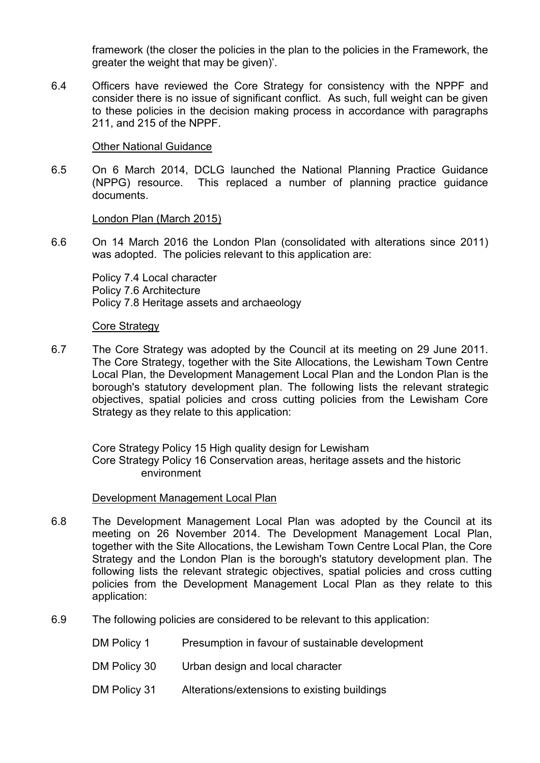framework (the closer the policies in the plan to the policies in the Framework, the greater the weight that may be given)'.

6.4 Officers have reviewed the Core Strategy for consistency with the NPPF and consider there is no issue of significant conflict. As such, full weight can be given to these policies in the decision making process in accordance with paragraphs 211, and 215 of the NPPF.

#### Other National Guidance

6.5 On 6 March 2014, DCLG launched the National Planning Practice Guidance (NPPG) resource. This replaced a number of planning practice guidance documents.

#### London Plan (March 2015)

6.6 On 14 March 2016 the London Plan (consolidated with alterations since 2011) was adopted. The policies relevant to this application are:

Policy 7.4 Local character Policy 7.6 Architecture Policy 7.8 Heritage assets and archaeology

#### Core Strategy

6.7 The Core Strategy was adopted by the Council at its meeting on 29 June 2011. The Core Strategy, together with the Site Allocations, the Lewisham Town Centre Local Plan, the Development Management Local Plan and the London Plan is the borough's statutory development plan. The following lists the relevant strategic objectives, spatial policies and cross cutting policies from the Lewisham Core Strategy as they relate to this application:

Core Strategy Policy 15 High quality design for Lewisham Core Strategy Policy 16 Conservation areas, heritage assets and the historic environment

## Development Management Local Plan

- 6.8 The Development Management Local Plan was adopted by the Council at its meeting on 26 November 2014. The Development Management Local Plan, together with the Site Allocations, the Lewisham Town Centre Local Plan, the Core Strategy and the London Plan is the borough's statutory development plan. The following lists the relevant strategic objectives, spatial policies and cross cutting policies from the Development Management Local Plan as they relate to this application:
- 6.9 The following policies are considered to be relevant to this application:
	- DM Policy 1 Presumption in favour of sustainable development
	- DM Policy 30 Urban design and local character
	- DM Policy 31 Alterations/extensions to existing buildings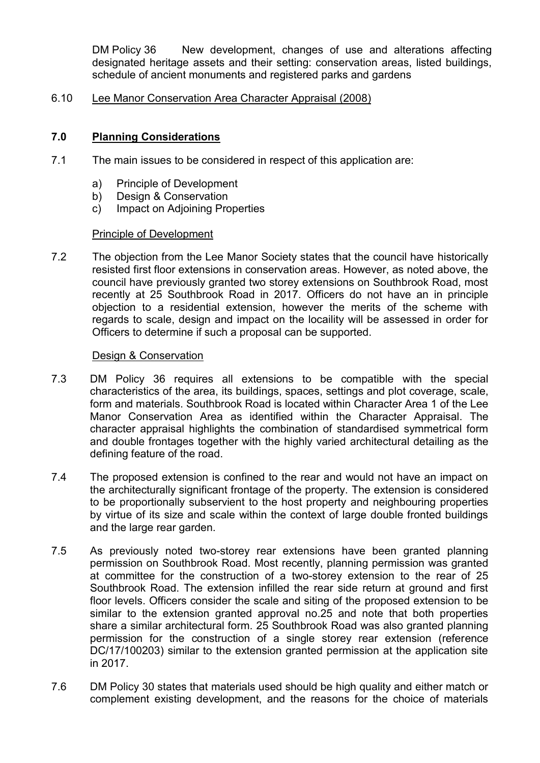DM Policy 36 New development, changes of use and alterations affecting designated heritage assets and their setting: conservation areas, listed buildings, schedule of ancient monuments and registered parks and gardens

## 6.10 Lee Manor Conservation Area Character Appraisal (2008)

# **7.0 Planning Considerations**

- 7.1 The main issues to be considered in respect of this application are:
	- a) Principle of Development
	- b) Design & Conservation
	- c) Impact on Adjoining Properties

## Principle of Development

7.2 The objection from the Lee Manor Society states that the council have historically resisted first floor extensions in conservation areas. However, as noted above, the council have previously granted two storey extensions on Southbrook Road, most recently at 25 Southbrook Road in 2017. Officers do not have an in principle objection to a residential extension, however the merits of the scheme with regards to scale, design and impact on the locaility will be assessed in order for Officers to determine if such a proposal can be supported.

#### Design & Conservation

- 7.3 DM Policy 36 requires all extensions to be compatible with the special characteristics of the area, its buildings, spaces, settings and plot coverage, scale, form and materials. Southbrook Road is located within Character Area 1 of the Lee Manor Conservation Area as identified within the Character Appraisal. The character appraisal highlights the combination of standardised symmetrical form and double frontages together with the highly varied architectural detailing as the defining feature of the road.
- 7.4 The proposed extension is confined to the rear and would not have an impact on the architecturally significant frontage of the property. The extension is considered to be proportionally subservient to the host property and neighbouring properties by virtue of its size and scale within the context of large double fronted buildings and the large rear garden.
- 7.5 As previously noted two-storey rear extensions have been granted planning permission on Southbrook Road. Most recently, planning permission was granted at committee for the construction of a two-storey extension to the rear of 25 Southbrook Road. The extension infilled the rear side return at ground and first floor levels. Officers consider the scale and siting of the proposed extension to be similar to the extension granted approval no.25 and note that both properties share a similar architectural form. 25 Southbrook Road was also granted planning permission for the construction of a single storey rear extension (reference DC/17/100203) similar to the extension granted permission at the application site in 2017.
- 7.6 DM Policy 30 states that materials used should be high quality and either match or complement existing development, and the reasons for the choice of materials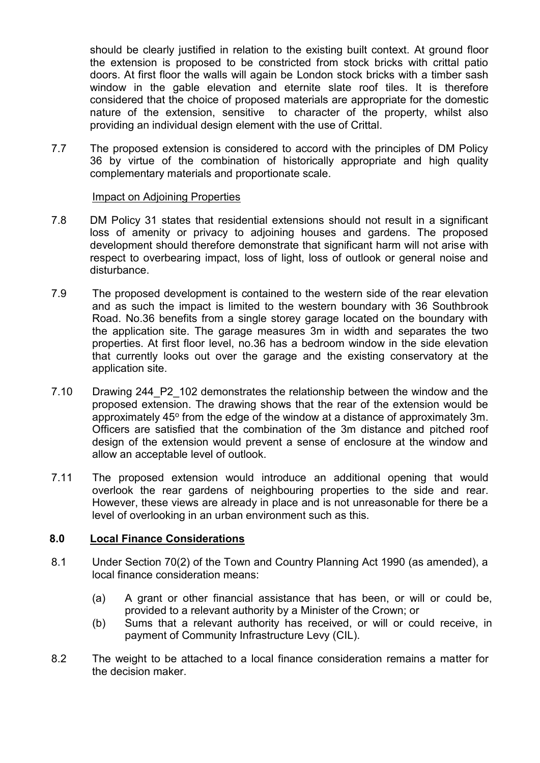should be clearly justified in relation to the existing built context. At ground floor the extension is proposed to be constricted from stock bricks with crittal patio doors. At first floor the walls will again be London stock bricks with a timber sash window in the gable elevation and eternite slate roof tiles. It is therefore considered that the choice of proposed materials are appropriate for the domestic nature of the extension, sensitive to character of the property, whilst also providing an individual design element with the use of Crittal.

7.7 The proposed extension is considered to accord with the principles of DM Policy 36 by virtue of the combination of historically appropriate and high quality complementary materials and proportionate scale.

## Impact on Adjoining Properties

- 7.8 DM Policy 31 states that residential extensions should not result in a significant loss of amenity or privacy to adjoining houses and gardens. The proposed development should therefore demonstrate that significant harm will not arise with respect to overbearing impact, loss of light, loss of outlook or general noise and disturbance.
- 7.9 The proposed development is contained to the western side of the rear elevation and as such the impact is limited to the western boundary with 36 Southbrook Road. No.36 benefits from a single storey garage located on the boundary with the application site. The garage measures 3m in width and separates the two properties. At first floor level, no.36 has a bedroom window in the side elevation that currently looks out over the garage and the existing conservatory at the application site.
- 7.10 Drawing 244\_P2\_102 demonstrates the relationship between the window and the proposed extension. The drawing shows that the rear of the extension would be approximately  $45^{\circ}$  from the edge of the window at a distance of approximately 3m. Officers are satisfied that the combination of the 3m distance and pitched roof design of the extension would prevent a sense of enclosure at the window and allow an acceptable level of outlook.
- 7.11 The proposed extension would introduce an additional opening that would overlook the rear gardens of neighbouring properties to the side and rear. However, these views are already in place and is not unreasonable for there be a level of overlooking in an urban environment such as this.

## **8.0 Local Finance Considerations**

- 8.1 Under Section 70(2) of the Town and Country Planning Act 1990 (as amended), a local finance consideration means:
	- (a) A grant or other financial assistance that has been, or will or could be, provided to a relevant authority by a Minister of the Crown; or
	- (b) Sums that a relevant authority has received, or will or could receive, in payment of Community Infrastructure Levy (CIL).
- 8.2 The weight to be attached to a local finance consideration remains a matter for the decision maker.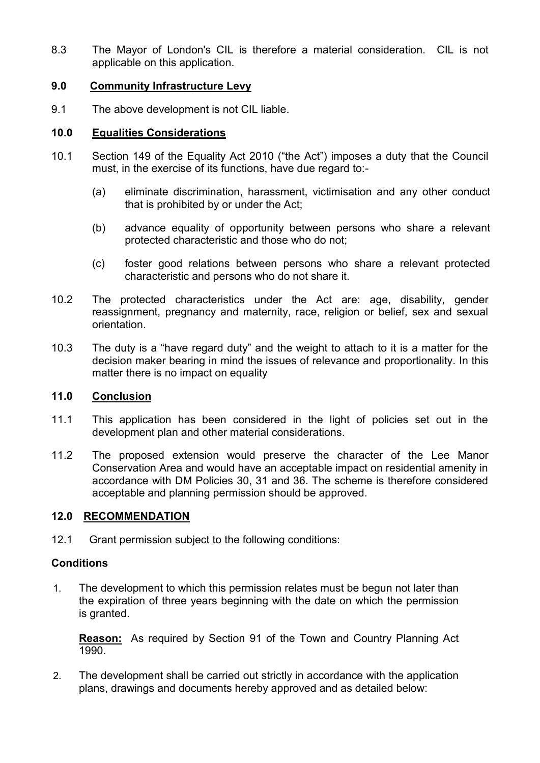8.3 The Mayor of London's CIL is therefore a material consideration. CIL is not applicable on this application.

## **9.0 Community Infrastructure Levy**

9.1 The above development is not CIL liable.

# **10.0 Equalities Considerations**

- 10.1 Section 149 of the Equality Act 2010 ("the Act") imposes a duty that the Council must, in the exercise of its functions, have due regard to:-
	- (a) eliminate discrimination, harassment, victimisation and any other conduct that is prohibited by or under the Act;
	- (b) advance equality of opportunity between persons who share a relevant protected characteristic and those who do not;
	- (c) foster good relations between persons who share a relevant protected characteristic and persons who do not share it.
- 10.2 The protected characteristics under the Act are: age, disability, gender reassignment, pregnancy and maternity, race, religion or belief, sex and sexual orientation.
- 10.3 The duty is a "have regard duty" and the weight to attach to it is a matter for the decision maker bearing in mind the issues of relevance and proportionality. In this matter there is no impact on equality

# **11.0 Conclusion**

- 11.1 This application has been considered in the light of policies set out in the development plan and other material considerations.
- 11.2 The proposed extension would preserve the character of the Lee Manor Conservation Area and would have an acceptable impact on residential amenity in accordance with DM Policies 30, 31 and 36. The scheme is therefore considered acceptable and planning permission should be approved.

## **12.0 RECOMMENDATION**

12.1 Grant permission subject to the following conditions:

## **Conditions**

1. The development to which this permission relates must be begun not later than the expiration of three years beginning with the date on which the permission is granted.

**Reason:** As required by Section 91 of the Town and Country Planning Act 1990.

2. The development shall be carried out strictly in accordance with the application plans, drawings and documents hereby approved and as detailed below: